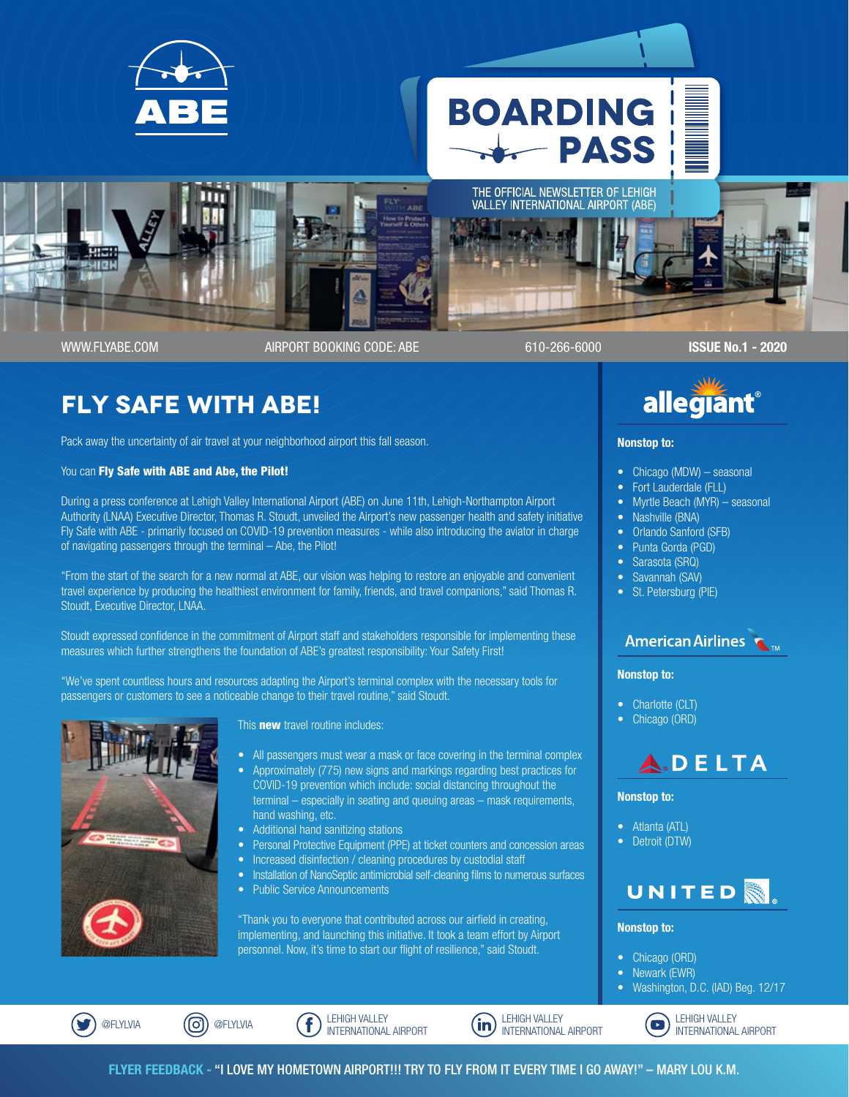

# **Fly Safe with ABE!**

Pack away the uncertainty of air travel at your neighborhood airport this fall season.

You can Fly Safe with ABE and Abe, the Pilot!

During a press conference at Lehigh Valley International Airport (ABE) on June 11th, Lehigh-Northampton Airport Authority (LNAA) Executive Director, Thomas R. Stoudt, unveiled the Airport's new passenger health and safety initiative Fly Safe with ABE - primarily focused on COVID-19 prevention measures - while also introducing the aviator in charge of navigating passengers through the terminal – Abe, the Pilot!

"From the start of the search for a new normal at ABE, our vision was helping to restore an enjoyable and convenient travel experience by producing the healthiest environment for family, friends, and travel companions," said Thomas R. Stoudt, Executive Director, LNAA.

Stoudt expressed confidence in the commitment of Airport staff and stakeholders responsible for implementing these measures which further strengthens the foundation of ABE's greatest responsibility: Your Safety First!

"We've spent countless hours and resources adapting the Airport's terminal complex with the necessary tools for passengers or customers to see a noticeable change to their travel routine," said Stoudt.



This **new** travel routine includes:

- All passengers must wear a mask or face covering in the terminal complex
- Approximately (775) new signs and markings regarding best practices for COVID-19 prevention which include: social distancing throughout the terminal – especially in seating and queuing areas – mask requirements, hand washing, etc.
- Additional hand sanitizing stations
- Personal Protective Equipment (PPE) at ticket counters and concession areas
- Increased disinfection / cleaning procedures by custodial staff
- Installation of NanoSeptic antimicrobial self-cleaning films to numerous surfaces
- Public Service Announcements

"Thank you to everyone that contributed across our airfield in creating, implementing, and launching this initiative. It took a team effort by Airport personnel. Now, it's time to start our flight of resilience," said Stoudt.



#### Nonstop to:

- Chicago (MDW) seasonal
- Fort Lauderdale (FLL)
- Myrtle Beach (MYR) seasonal
- Nashville (BNA)
- Orlando Sanford (SFB)
- Punta Gorda (PGD)
- Sarasota (SRQ)
- Savannah (SAV)
- St. Petersburg (PIE)

#### **American Airlines**

#### Nonstop to:

- Charlotte (CLT)
- Chicago (ORD)



#### Nonstop to:

- Atlanta (ATL)
- Detroit (DTW)



#### Nonstop to:

- Chicago (ORD)
- Newark (EWR)
- Washington, D.C. (IAD) Beg. 12/17



LEHIGH VALLEY INTERNATIONAL AIRPORT



LEHIGH VALLEY  $\mathbf{r}$ INTERNATIONAL AIRPORT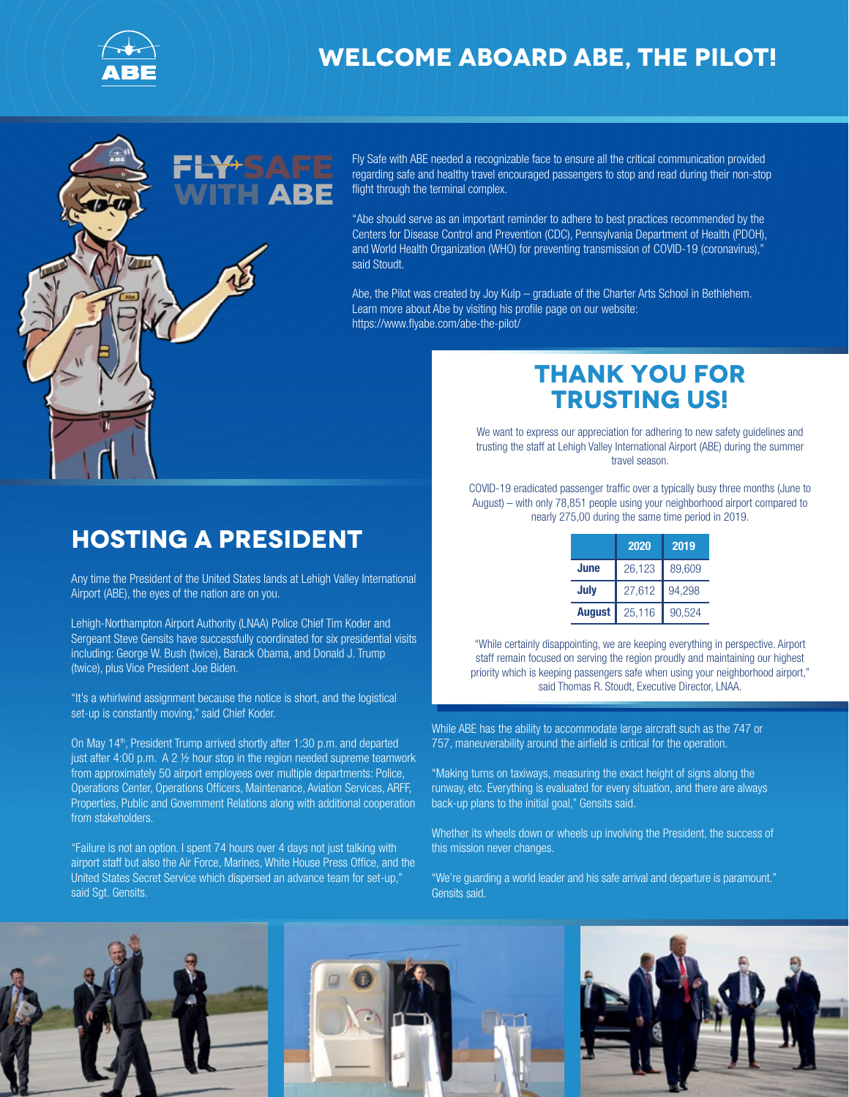

#### **Welcome aboard Abe, the pilot!**

Fly Safe with ABE needed a recognizable face to ensure all the critical communication provided regarding safe and healthy travel encouraged passengers to stop and read during their non-stop flight through the terminal complex.

"Abe should serve as an important reminder to adhere to best practices recommended by the Centers for Disease Control and Prevention (CDC), Pennsylvania Department of Health (PDOH), and World Health Organization (WHO) for preventing transmission of COVID-19 (coronavirus)," said Stoudt.

Abe, the Pilot was created by Joy Kulp – graduate of the Charter Arts School in Bethlehem. Learn more about Abe by visiting his profile page on our website: https://www.flyabe.com/abe-the-pilot/

## **Hosting a President**

Any time the President of the United States lands at Lehigh Valley International Airport (ABE), the eyes of the nation are on you.

Lehigh-Northampton Airport Authority (LNAA) Police Chief Tim Koder and Sergeant Steve Gensits have successfully coordinated for six presidential visits including: George W. Bush (twice), Barack Obama, and Donald J. Trump (twice), plus Vice President Joe Biden.

"It's a whirlwind assignment because the notice is short, and the logistical set-up is constantly moving," said Chief Koder.

On May 14<sup>th</sup>, President Trump arrived shortly after 1:30 p.m. and departed just after 4:00 p.m. A 2 ½ hour stop in the region needed supreme teamwork from approximately 50 airport employees over multiple departments: Police, Operations Center, Operations Officers, Maintenance, Aviation Services, ARFF, Properties, Public and Government Relations along with additional cooperation from stakeholders.

"Failure is not an option. I spent 74 hours over 4 days not just talking with airport staff but also the Air Force, Marines, White House Press Office, and the United States Secret Service which dispersed an advance team for set-up," said Sgt. Gensits.

## **Thank you for trusting us!**

We want to express our appreciation for adhering to new safety guidelines and trusting the staff at Lehigh Valley International Airport (ABE) during the summer travel season.

COVID-19 eradicated passenger traffic over a typically busy three months (June to August) – with only 78,851 people using your neighborhood airport compared to nearly 275,00 during the same time period in 2019.

|               | 2020   | 2019   |
|---------------|--------|--------|
| June          | 26,123 | 89,609 |
| July          | 27.612 | 94,298 |
| <b>August</b> | 25.116 | 90,524 |

"While certainly disappointing, we are keeping everything in perspective. Airport staff remain focused on serving the region proudly and maintaining our highest priority which is keeping passengers safe when using your neighborhood airport," said Thomas R. Stoudt, Executive Director, LNAA.

While ABE has the ability to accommodate large aircraft such as the 747 or 757, maneuverability around the airfield is critical for the operation.

"Making turns on taxiways, measuring the exact height of signs along the runway, etc. Everything is evaluated for every situation, and there are always back-up plans to the initial goal," Gensits said.

Whether its wheels down or wheels up involving the President, the success of this mission never changes.

"We're guarding a world leader and his safe arrival and departure is paramount." Gensits said.

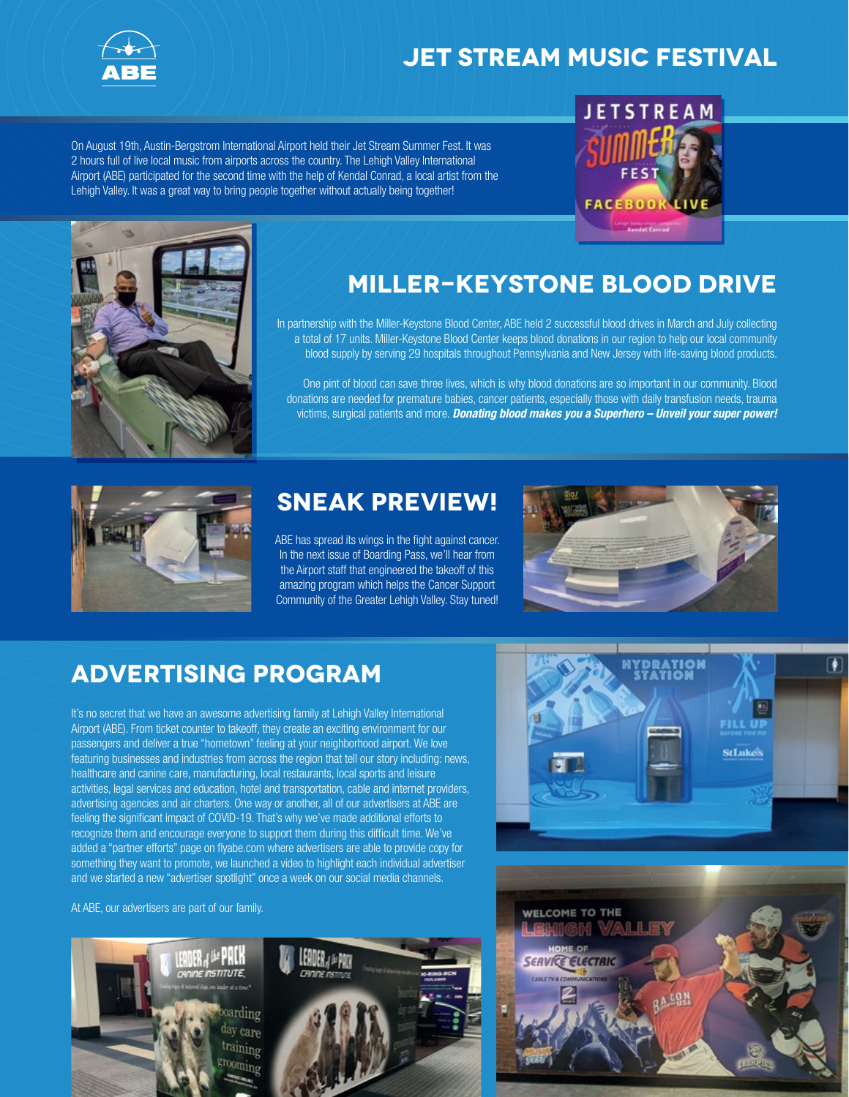

## **Jet Stream Music Festival**

On August 19th, Austin-Bergstrom International Airport held their Jet Stream Summer Fest. It was 2 hours full of live local music from airports across the country. The Lehigh Valley International Airport (ABE) participated for the second time with the help of Kendal Conrad, a local artist from the Lehigh Valley. It was a great way to bring people together without actually being together!





# **Miller-Keystone Blood Drive**

In partnership with the Miller-Keystone Blood Center, ABE held 2 successful blood drives in March and July collecting a total of 17 units. Miller-Keystone Blood Center keeps blood donations in our region to help our local community blood supply by serving 29 hospitals throughout Pennsylvania and New Jersey with life-saving blood products.

One pint of blood can save three lives, which is why blood donations are so important in our community. Blood donations are needed for premature babies, cancer patients, especially those with daily transfusion needs, trauma victims, surgical patients and more. Donating blood makes you a Superhero - Unveil your super power!



## **Sneak Preview!**

ABE has spread its wings in the fight against cancer. In the next issue of Boarding Pass, we'll hear from the Airport staff that engineered the takeoff of this amazing program which helps the Cancer Support Community of the Greater Lehigh Valley. Stay tuned!



## **Advertising Program**

It's no secret that we have an awesome advertising family at Lehigh Valley International Airport (ABE). From ticket counter to takeoff, they create an exciting environment for our passengers and deliver a true "hometown" feeling at your neighborhood airport. We love featuring businesses and industries from across the region that tell our story including: news, healthcare and canine care, manufacturing, local restaurants, local sports and leisure activities, legal services and education, hotel and transportation, cable and internet providers, advertising agencies and air charters. One way or another, all of our advertisers at ABE are feeling the significant impact of COVID-19. That's why we've made additional efforts to recognize them and encourage everyone to support them during this difficult time. We've added a "partner efforts" page on flyabe.com where advertisers are able to provide copy for something they want to promote, we launched a video to highlight each individual advertiser and we started a new "advertiser spotlight" once a week on our social media channels.

At ABE, our advertisers are part of our family.